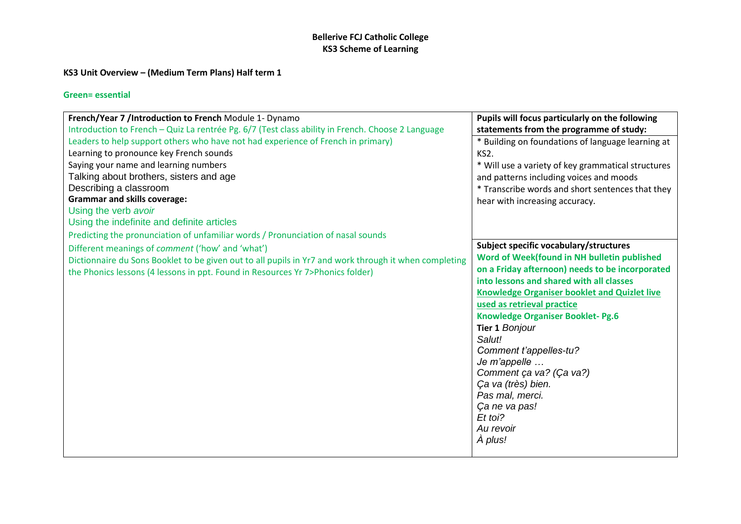## **KS3 Unit Overview – (Medium Term Plans) Half term 1**

| French/Year 7 /Introduction to French Module 1- Dynamo                                                | Pupils will focus particularly on the following     |
|-------------------------------------------------------------------------------------------------------|-----------------------------------------------------|
| Introduction to French - Quiz La rentrée Pg. 6/7 (Test class ability in French. Choose 2 Language     | statements from the programme of study:             |
| Leaders to help support others who have not had experience of French in primary)                      | * Building on foundations of language learning at   |
| Learning to pronounce key French sounds                                                               | KS2.                                                |
| Saying your name and learning numbers                                                                 | * Will use a variety of key grammatical structures  |
| Talking about brothers, sisters and age                                                               | and patterns including voices and moods             |
| Describing a classroom                                                                                | * Transcribe words and short sentences that they    |
| <b>Grammar and skills coverage:</b>                                                                   | hear with increasing accuracy.                      |
| Using the verb avoir                                                                                  |                                                     |
| Using the indefinite and definite articles                                                            |                                                     |
| Predicting the pronunciation of unfamiliar words / Pronunciation of nasal sounds                      |                                                     |
| Different meanings of comment ('how' and 'what')                                                      | Subject specific vocabulary/structures              |
| Dictionnaire du Sons Booklet to be given out to all pupils in Yr7 and work through it when completing | Word of Week(found in NH bulletin published         |
| the Phonics lessons (4 lessons in ppt. Found in Resources Yr 7>Phonics folder)                        | on a Friday afternoon) needs to be incorporated     |
|                                                                                                       | into lessons and shared with all classes            |
|                                                                                                       | <b>Knowledge Organiser booklet and Quizlet live</b> |
|                                                                                                       | used as retrieval practice                          |
|                                                                                                       | Knowledge Organiser Booklet- Pg.6                   |
|                                                                                                       | Tier 1 Bonjour                                      |
|                                                                                                       | Salut!                                              |
|                                                                                                       | Comment t'appelles-tu?<br>Je m'appelle              |
|                                                                                                       | Comment ça va? (Ça va?)                             |
|                                                                                                       | Ça va (très) bien.                                  |
|                                                                                                       | Pas mal, merci.                                     |
|                                                                                                       | Ça ne va pas!                                       |
|                                                                                                       | Et toi?                                             |
|                                                                                                       | Au revoir                                           |
|                                                                                                       | A plus!                                             |
|                                                                                                       |                                                     |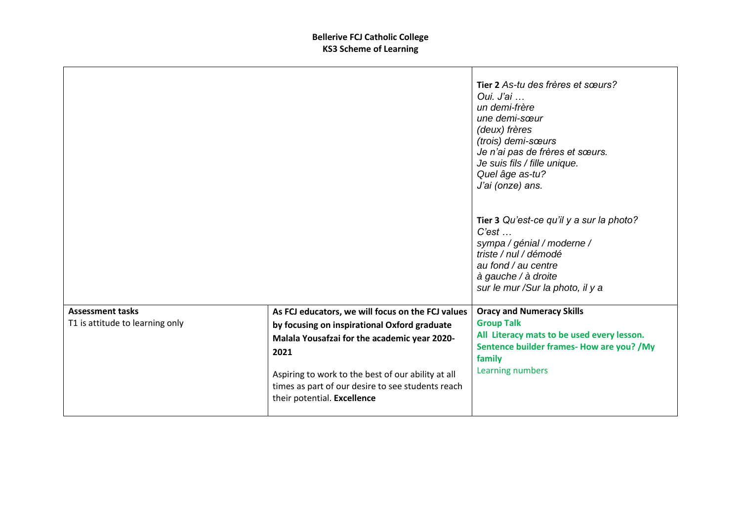|                                                            |                                                                                                                                                                                                                                                                                                     | Tier 2 As-tu des frères et sœurs?<br>Oui. J'ai<br>un demi-frère<br>une demi-sœur<br>(deux) frères<br>(trois) demi-sœurs<br>Je n'ai pas de frères et sœurs.<br>Je suis fils / fille unique.<br>Quel âge as-tu?<br>J'ai (onze) ans. |
|------------------------------------------------------------|-----------------------------------------------------------------------------------------------------------------------------------------------------------------------------------------------------------------------------------------------------------------------------------------------------|-----------------------------------------------------------------------------------------------------------------------------------------------------------------------------------------------------------------------------------|
|                                                            |                                                                                                                                                                                                                                                                                                     | Tier 3 Qu'est-ce qu'il y a sur la photo?<br>$C'est \dots$<br>sympa / génial / moderne /<br>triste / nul / démodé<br>au fond / au centre<br>à gauche / à droite<br>sur le mur /Sur la photo, il y a                                |
| <b>Assessment tasks</b><br>T1 is attitude to learning only | As FCJ educators, we will focus on the FCJ values<br>by focusing on inspirational Oxford graduate<br>Malala Yousafzai for the academic year 2020-<br>2021<br>Aspiring to work to the best of our ability at all<br>times as part of our desire to see students reach<br>their potential. Excellence | <b>Oracy and Numeracy Skills</b><br><b>Group Talk</b><br>All Literacy mats to be used every lesson.<br>Sentence builder frames- How are you? /My<br>family<br>Learning numbers                                                    |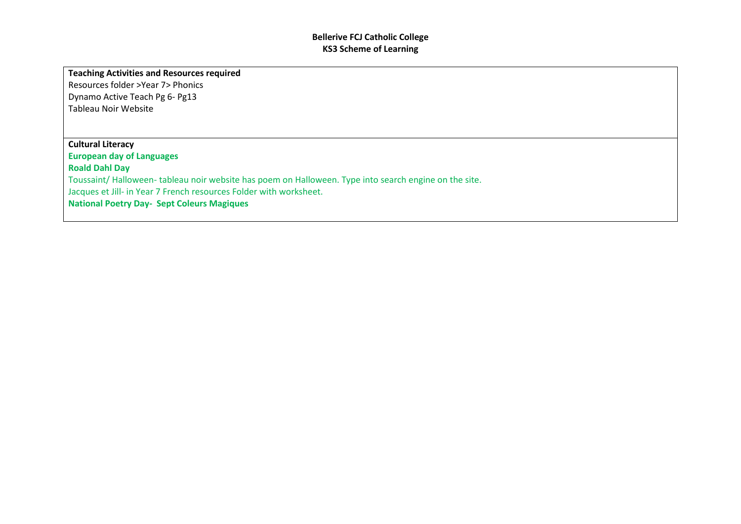#### **Teaching Activities and Resources required**

Resources folder >Year 7> Phonics Dynamo Active Teach Pg 6- Pg13 Tableau Noir Website

## **Cultural Literacy European day of Languages Roald Dahl Day**  Toussaint/ Halloween- tableau noir website has poem on Halloween. Type into search engine on the site. Jacques et Jill- in Year 7 French resources Folder with worksheet. **National Poetry Day- Sept Coleurs Magiques**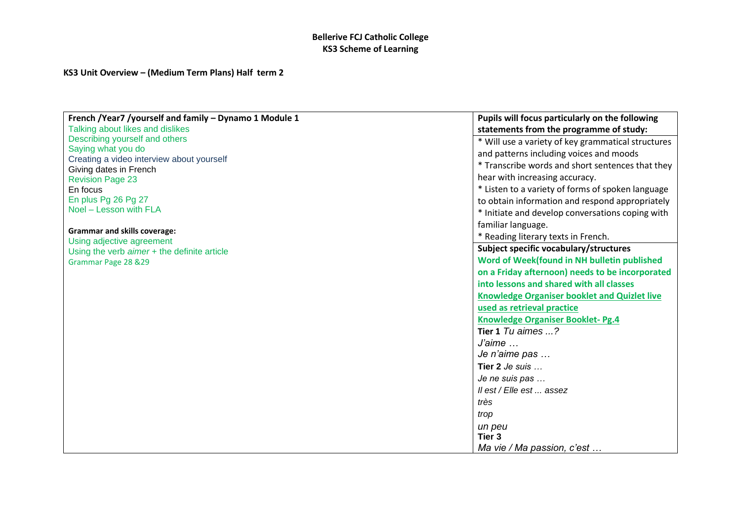### **KS3 Unit Overview – (Medium Term Plans) Half term 2**

| French /Year7 /yourself and family - Dynamo 1 Module 1 | Pupils will focus particularly on the following     |
|--------------------------------------------------------|-----------------------------------------------------|
| Talking about likes and dislikes                       | statements from the programme of study:             |
| Describing yourself and others                         | * Will use a variety of key grammatical structures  |
| Saying what you do                                     | and patterns including voices and moods             |
| Creating a video interview about yourself              | * Transcribe words and short sentences that they    |
| Giving dates in French<br><b>Revision Page 23</b>      | hear with increasing accuracy.                      |
| En focus                                               | * Listen to a variety of forms of spoken language   |
| En plus Pg 26 Pg 27                                    | to obtain information and respond appropriately     |
| Noel - Lesson with FLA                                 | * Initiate and develop conversations coping with    |
|                                                        | familiar language.                                  |
| <b>Grammar and skills coverage:</b>                    | * Reading literary texts in French.                 |
| Using adjective agreement                              |                                                     |
| Using the verb aimer + the definite article            | Subject specific vocabulary/structures              |
| Grammar Page 28 & 29                                   | Word of Week(found in NH bulletin published         |
|                                                        | on a Friday afternoon) needs to be incorporated     |
|                                                        | into lessons and shared with all classes            |
|                                                        | <b>Knowledge Organiser booklet and Quizlet live</b> |
|                                                        | used as retrieval practice                          |
|                                                        | <b>Knowledge Organiser Booklet-Pg.4</b>             |
|                                                        | Tier 1 $Tu$ aimes $\ldots$ ?                        |
|                                                        | $J\acute{a}$ ime $\ldots$                           |
|                                                        | Je n'aime pas                                       |
|                                                        | Tier 2 Je suis                                      |
|                                                        | Je ne suis pas                                      |
|                                                        | Il est / Elle est  assez                            |
|                                                        | très                                                |
|                                                        | trop                                                |
|                                                        | un peu                                              |
|                                                        | Tier 3                                              |
|                                                        | Ma vie / Ma passion, c'est                          |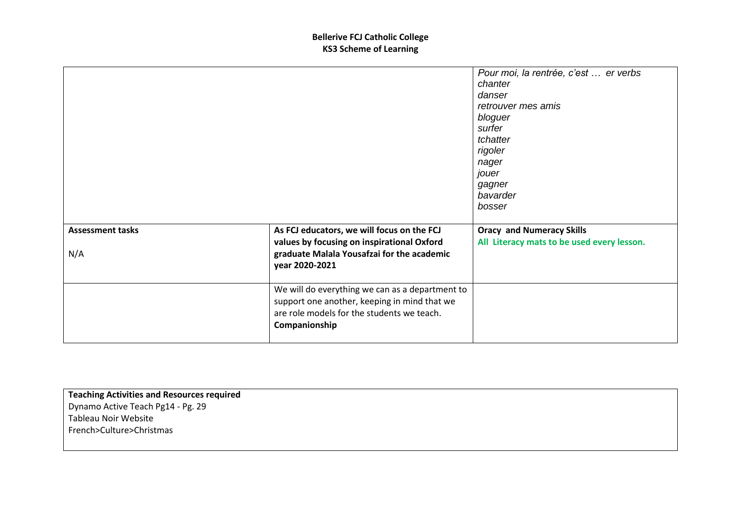|                         |                                                                                                                                                                | Pour moi, la rentrée, c'est  er verbs<br>chanter<br>danser<br>retrouver mes amis<br>bloguer<br>surfer<br>tchatter<br>rigoler<br>nager<br>jouer<br>gagner<br>bavarder<br>bosser |
|-------------------------|----------------------------------------------------------------------------------------------------------------------------------------------------------------|--------------------------------------------------------------------------------------------------------------------------------------------------------------------------------|
| <b>Assessment tasks</b> | As FCJ educators, we will focus on the FCJ                                                                                                                     | <b>Oracy and Numeracy Skills</b>                                                                                                                                               |
| N/A                     | values by focusing on inspirational Oxford<br>graduate Malala Yousafzai for the academic<br>year 2020-2021                                                     | All Literacy mats to be used every lesson.                                                                                                                                     |
|                         | We will do everything we can as a department to<br>support one another, keeping in mind that we<br>are role models for the students we teach.<br>Companionship |                                                                                                                                                                                |

**Teaching Activities and Resources required** Dynamo Active Teach Pg14 - Pg. 29 Tableau Noir Website French>Culture>Christmas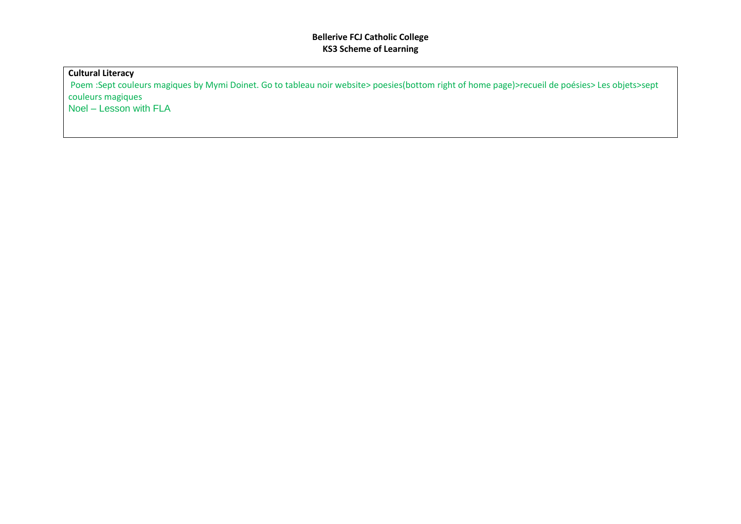### **Cultural Literacy**

Poem :Sept couleurs magiques by Mymi Doinet. Go to tableau noir website> poesies(bottom right of home page)>recueil de poésies> Les objets>sept couleurs magiques Noel – Lesson with FLA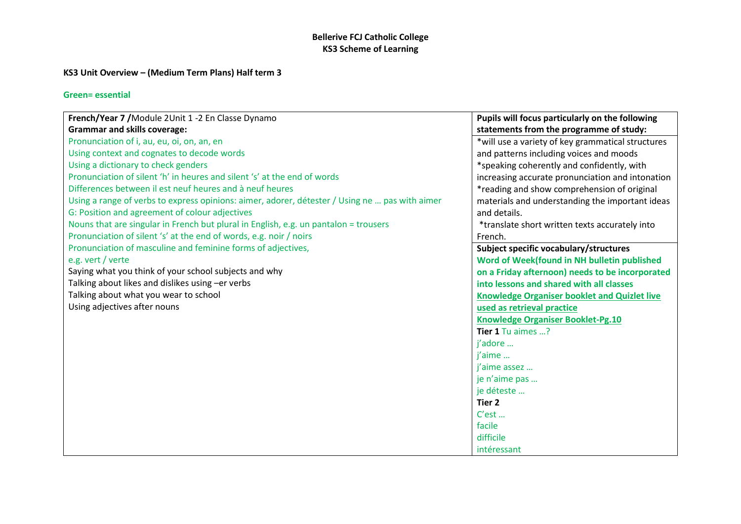## **KS3 Unit Overview – (Medium Term Plans) Half term 3**

| French/Year 7 / Module 2Unit 1 -2 En Classe Dynamo                                             | Pupils will focus particularly on the following     |
|------------------------------------------------------------------------------------------------|-----------------------------------------------------|
| <b>Grammar and skills coverage:</b>                                                            | statements from the programme of study:             |
| Pronunciation of i, au, eu, oi, on, an, en                                                     | *will use a variety of key grammatical structures   |
| Using context and cognates to decode words                                                     | and patterns including voices and moods             |
| Using a dictionary to check genders                                                            | *speaking coherently and confidently, with          |
| Pronunciation of silent 'h' in heures and silent 's' at the end of words                       | increasing accurate pronunciation and intonation    |
| Differences between il est neuf heures and à neuf heures                                       | *reading and show comprehension of original         |
| Using a range of verbs to express opinions: aimer, adorer, détester / Using ne  pas with aimer | materials and understanding the important ideas     |
| G: Position and agreement of colour adjectives                                                 | and details.                                        |
| Nouns that are singular in French but plural in English, e.g. un pantalon = trousers           | *translate short written texts accurately into      |
| Pronunciation of silent 's' at the end of words, e.g. noir / noirs                             | French.                                             |
| Pronunciation of masculine and feminine forms of adjectives,                                   | Subject specific vocabulary/structures              |
| e.g. vert / verte                                                                              | Word of Week(found in NH bulletin published         |
| Saying what you think of your school subjects and why                                          | on a Friday afternoon) needs to be incorporated     |
| Talking about likes and dislikes using -er verbs                                               | into lessons and shared with all classes            |
| Talking about what you wear to school                                                          | <b>Knowledge Organiser booklet and Quizlet live</b> |
| Using adjectives after nouns                                                                   | used as retrieval practice                          |
|                                                                                                | <b>Knowledge Organiser Booklet-Pg.10</b>            |
|                                                                                                | Tier 1 Tu aimes ?                                   |
|                                                                                                | i'adore                                             |
|                                                                                                | i'aime                                              |
|                                                                                                | j'aime assez                                        |
|                                                                                                | je n'aime pas                                       |
|                                                                                                | je déteste                                          |
|                                                                                                | Tier 2                                              |
|                                                                                                | C'est                                               |
|                                                                                                | facile                                              |
|                                                                                                | difficile                                           |
|                                                                                                | intéressant                                         |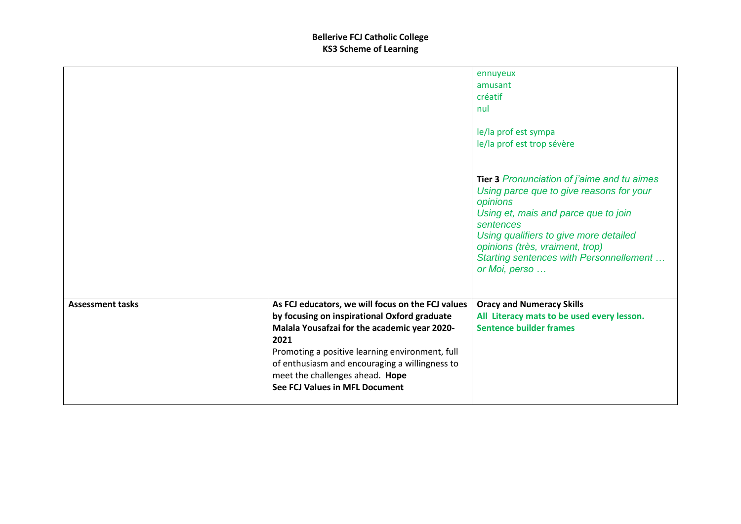|                         |                                                                                                                                                                                                                                                                                                                                            | ennuyeux<br>amusant<br>créatif<br>nul<br>le/la prof est sympa<br>le/la prof est trop sévère                                                                                                                                                                                                       |
|-------------------------|--------------------------------------------------------------------------------------------------------------------------------------------------------------------------------------------------------------------------------------------------------------------------------------------------------------------------------------------|---------------------------------------------------------------------------------------------------------------------------------------------------------------------------------------------------------------------------------------------------------------------------------------------------|
|                         |                                                                                                                                                                                                                                                                                                                                            | Tier 3 Pronunciation of j'aime and tu aimes<br>Using parce que to give reasons for your<br>opinions<br>Using et, mais and parce que to join<br>sentences<br>Using qualifiers to give more detailed<br>opinions (très, vraiment, trop)<br>Starting sentences with Personnellement<br>or Moi, perso |
| <b>Assessment tasks</b> | As FCJ educators, we will focus on the FCJ values<br>by focusing on inspirational Oxford graduate<br>Malala Yousafzai for the academic year 2020-<br>2021<br>Promoting a positive learning environment, full<br>of enthusiasm and encouraging a willingness to<br>meet the challenges ahead. Hope<br><b>See FCJ Values in MFL Document</b> | <b>Oracy and Numeracy Skills</b><br>All Literacy mats to be used every lesson.<br><b>Sentence builder frames</b>                                                                                                                                                                                  |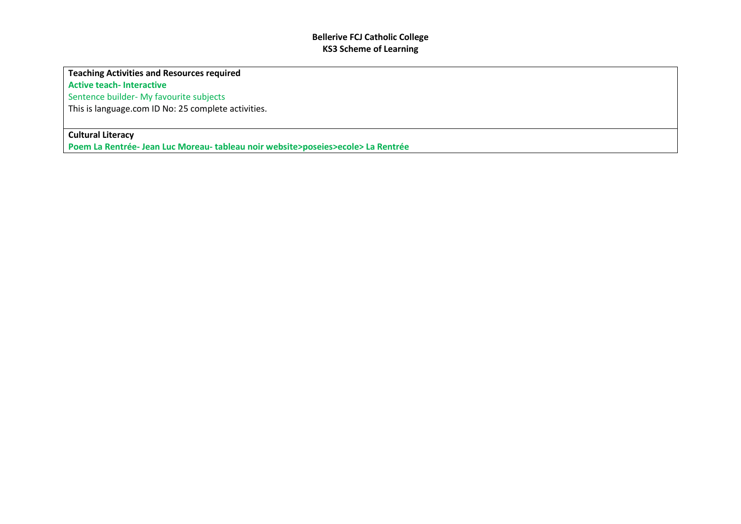### **Teaching Activities and Resources required**

**Active teach- Interactive**

Sentence builder- My favourite subjects

This is language.com ID No: 25 complete activities.

### **Cultural Literacy**

**Poem La Rentrée- Jean Luc Moreau- tableau noir website>poseies>ecole> La Rentrée**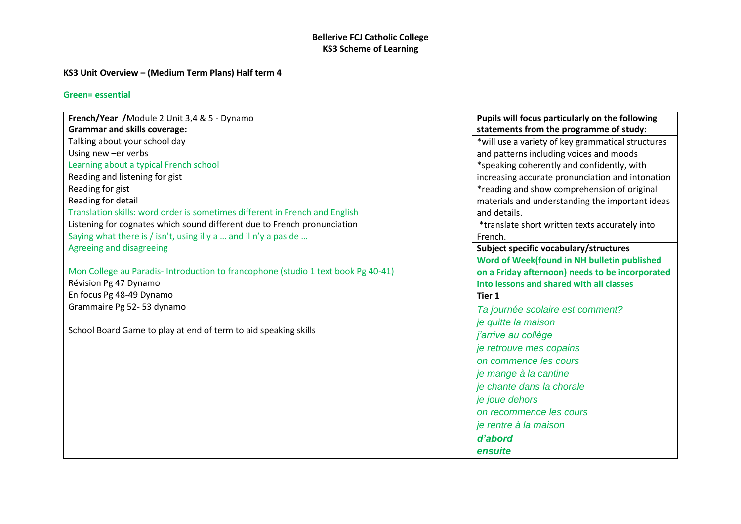## **KS3 Unit Overview – (Medium Term Plans) Half term 4**

| French/Year / Module 2 Unit 3,4 & 5 - Dynamo                                      | Pupils will focus particularly on the following   |
|-----------------------------------------------------------------------------------|---------------------------------------------------|
| <b>Grammar and skills coverage:</b>                                               | statements from the programme of study:           |
| Talking about your school day                                                     | *will use a variety of key grammatical structures |
| Using new -er verbs                                                               | and patterns including voices and moods           |
| Learning about a typical French school                                            | *speaking coherently and confidently, with        |
| Reading and listening for gist                                                    | increasing accurate pronunciation and intonation  |
| Reading for gist                                                                  | *reading and show comprehension of original       |
| Reading for detail                                                                | materials and understanding the important ideas   |
| Translation skills: word order is sometimes different in French and English       | and details.                                      |
| Listening for cognates which sound different due to French pronunciation          | *translate short written texts accurately into    |
| Saying what there is / isn't, using il $y$ a  and il n'y a pas de                 | French.                                           |
| Agreeing and disagreeing                                                          | Subject specific vocabulary/structures            |
|                                                                                   | Word of Week(found in NH bulletin published       |
| Mon College au Paradis- Introduction to francophone (studio 1 text book Pg 40-41) | on a Friday afternoon) needs to be incorporated   |
| Révision Pg 47 Dynamo                                                             | into lessons and shared with all classes          |
| En focus Pg 48-49 Dynamo                                                          | Tier 1                                            |
| Grammaire Pg 52-53 dynamo                                                         | Ta journée scolaire est comment?                  |
|                                                                                   | je quitte la maison                               |
| School Board Game to play at end of term to aid speaking skills                   | j'arrive au collège                               |
|                                                                                   | je retrouve mes copains                           |
|                                                                                   | on commence les cours                             |
|                                                                                   | je mange à la cantine                             |
|                                                                                   | je chante dans la chorale                         |
|                                                                                   | je joue dehors                                    |
|                                                                                   | on recommence les cours                           |
|                                                                                   | je rentre à la maison                             |
|                                                                                   | d'abord                                           |
|                                                                                   | ensuite                                           |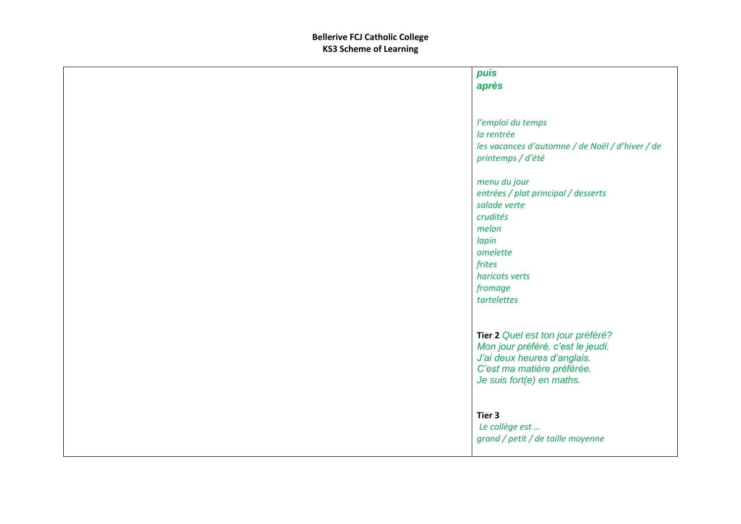| puis                                                                                                                                                                |
|---------------------------------------------------------------------------------------------------------------------------------------------------------------------|
| après                                                                                                                                                               |
|                                                                                                                                                                     |
| l'emploi du temps<br>la rentrée<br>les vacances d'automne / de Noël / d'hiver / de<br>printemps / d'été                                                             |
| menu du jour<br>entrées / plat principal / desserts<br>salade verte<br>crudités<br>melon<br>lapin<br>omelette<br>frites<br>haricots verts<br>fromage<br>tartelettes |
| Tier 2 Quel est ton jour préféré?<br>Mon jour préféré, c'est le jeudi.<br>J'ai deux heures d'anglais.<br>C'est ma matière préférée.<br>Je suis fort(e) en maths.    |
| Tier 3<br>Le collège est<br>grand / petit / de taille moyenne                                                                                                       |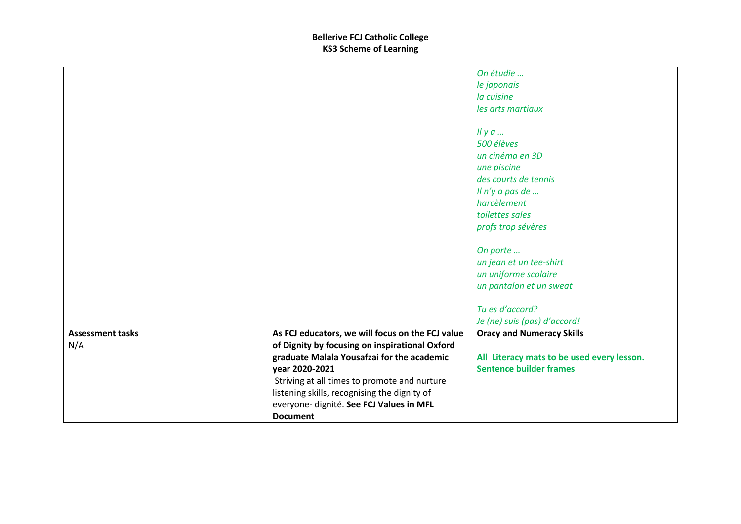|                         |                                                  | On étudie                                  |
|-------------------------|--------------------------------------------------|--------------------------------------------|
|                         |                                                  | le japonais                                |
|                         |                                                  | la cuisine                                 |
|                         |                                                  | les arts martiaux                          |
|                         |                                                  |                                            |
|                         |                                                  | $I\vert y a $                              |
|                         |                                                  | 500 élèves                                 |
|                         |                                                  | un cinéma en 3D                            |
|                         |                                                  | une piscine                                |
|                         |                                                  | des courts de tennis                       |
|                         |                                                  | Il n'y a pas de                            |
|                         |                                                  | harcèlement                                |
|                         |                                                  | toilettes sales                            |
|                         |                                                  | profs trop sévères                         |
|                         |                                                  |                                            |
|                         |                                                  | On porte                                   |
|                         |                                                  | un jean et un tee-shirt                    |
|                         |                                                  | un uniforme scolaire                       |
|                         |                                                  | un pantalon et un sweat                    |
|                         |                                                  |                                            |
|                         |                                                  | Tu es d'accord?                            |
|                         |                                                  | Je (ne) suis (pas) d'accord!               |
| <b>Assessment tasks</b> | As FCJ educators, we will focus on the FCJ value | <b>Oracy and Numeracy Skills</b>           |
| N/A                     | of Dignity by focusing on inspirational Oxford   |                                            |
|                         | graduate Malala Yousafzai for the academic       | All Literacy mats to be used every lesson. |
|                         | year 2020-2021                                   | <b>Sentence builder frames</b>             |
|                         | Striving at all times to promote and nurture     |                                            |
|                         | listening skills, recognising the dignity of     |                                            |
|                         | everyone- dignité. See FCJ Values in MFL         |                                            |
|                         | <b>Document</b>                                  |                                            |
|                         |                                                  |                                            |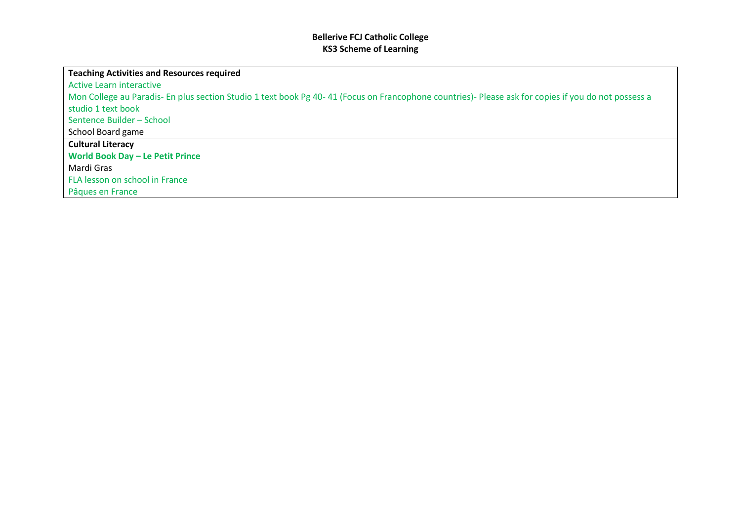| Teaching Activities and Resources required                                                                                                          |
|-----------------------------------------------------------------------------------------------------------------------------------------------------|
| Active Learn interactive                                                                                                                            |
| Mon College au Paradis- En plus section Studio 1 text book Pg 40-41 (Focus on Francophone countries)- Please ask for copies if you do not possess a |
| studio 1 text book                                                                                                                                  |
| Sentence Builder - School                                                                                                                           |
| School Board game                                                                                                                                   |
| <b>Cultural Literacy</b>                                                                                                                            |
| World Book Day - Le Petit Prince                                                                                                                    |
| l Mardi Gras                                                                                                                                        |
| FLA lesson on school in France                                                                                                                      |
| Pâques en France                                                                                                                                    |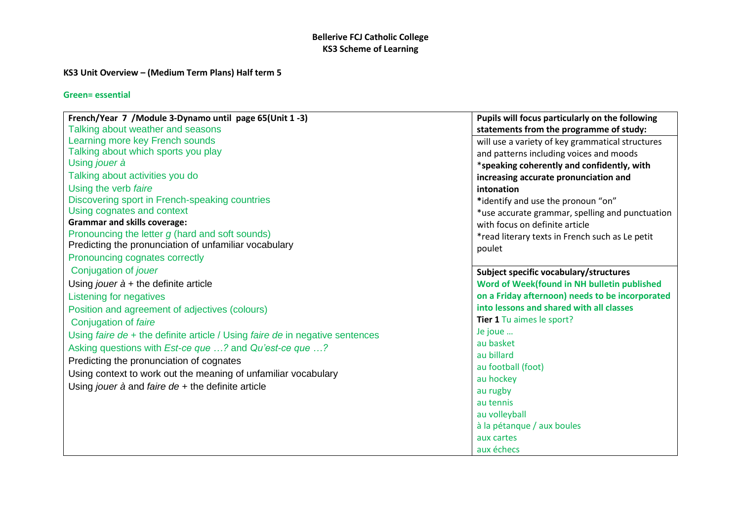### **KS3 Unit Overview – (Medium Term Plans) Half term 5**

| French/Year 7 / Module 3-Dynamo until page 65(Unit 1 -3)                     | Pupils will focus particularly on the following  |
|------------------------------------------------------------------------------|--------------------------------------------------|
| Talking about weather and seasons                                            | statements from the programme of study:          |
| Learning more key French sounds                                              | will use a variety of key grammatical structures |
| Talking about which sports you play                                          | and patterns including voices and moods          |
| Using jouer à                                                                | *speaking coherently and confidently, with       |
| Talking about activities you do                                              | increasing accurate pronunciation and            |
| Using the verb faire                                                         | intonation                                       |
| Discovering sport in French-speaking countries                               | *identify and use the pronoun "on"               |
| Using cognates and context                                                   | *use accurate grammar, spelling and punctuation  |
| <b>Grammar and skills coverage:</b>                                          | with focus on definite article                   |
| Pronouncing the letter g (hard and soft sounds)                              | *read literary texts in French such as Le petit  |
| Predicting the pronunciation of unfamiliar vocabulary                        | poulet                                           |
| Pronouncing cognates correctly                                               |                                                  |
| Conjugation of jouer                                                         | Subject specific vocabulary/structures           |
| Using jouer $\dot{a}$ + the definite article                                 | Word of Week(found in NH bulletin published      |
| <b>Listening for negatives</b>                                               | on a Friday afternoon) needs to be incorporated  |
| Position and agreement of adjectives (colours)                               | into lessons and shared with all classes         |
| Conjugation of faire                                                         | Tier 1 Tu aimes le sport?                        |
| Using faire de + the definite article / Using faire de in negative sentences | Je joue                                          |
| Asking questions with <i>Est-ce que ?</i> and <i>Qu'est-ce que ?</i>         | au basket                                        |
| Predicting the pronunciation of cognates                                     | au billard                                       |
| Using context to work out the meaning of unfamiliar vocabulary               | au football (foot)                               |
|                                                                              | au hockey                                        |
| Using jouer $\dot{a}$ and faire de + the definite article                    | au rugby                                         |
|                                                                              | au tennis                                        |
|                                                                              | au volleyball                                    |
|                                                                              | à la pétanque / aux boules                       |
|                                                                              | aux cartes                                       |
|                                                                              | aux échecs                                       |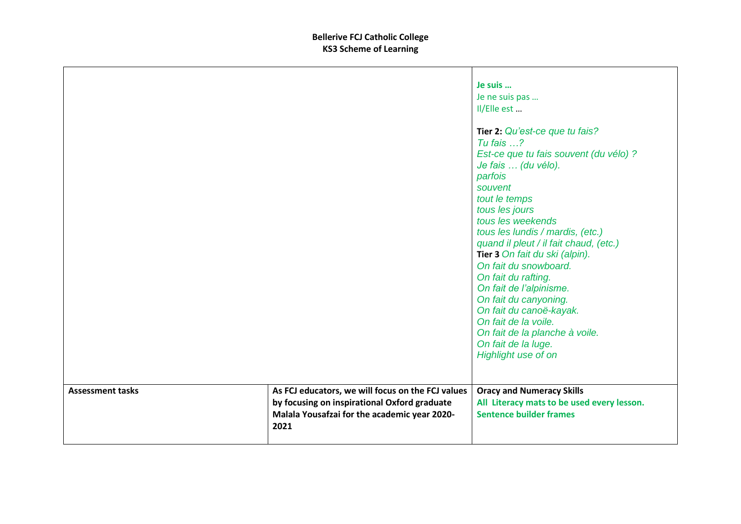|                         |                                                   | Je suis                                    |
|-------------------------|---------------------------------------------------|--------------------------------------------|
|                         |                                                   | Je ne suis pas                             |
|                         |                                                   | Il/Elle est                                |
|                         |                                                   |                                            |
|                         |                                                   | Tier 2: Qu'est-ce que tu fais?             |
|                         |                                                   | Tu fais $\ldots$ ?                         |
|                         |                                                   | Est-ce que tu fais souvent (du vélo) ?     |
|                         |                                                   | Je fais  (du vélo).                        |
|                         |                                                   | parfois                                    |
|                         |                                                   | souvent                                    |
|                         |                                                   | tout le temps                              |
|                         |                                                   | tous les jours                             |
|                         |                                                   | tous les weekends                          |
|                         |                                                   | tous les lundis / mardis, (etc.)           |
|                         |                                                   | quand il pleut / il fait chaud, (etc.)     |
|                         |                                                   | Tier 3 On fait du ski (alpin).             |
|                         |                                                   | On fait du snowboard.                      |
|                         |                                                   | On fait du rafting.                        |
|                         |                                                   | On fait de l'alpinisme.                    |
|                         |                                                   | On fait du canyoning.                      |
|                         |                                                   | On fait du canoë-kayak.                    |
|                         |                                                   | On fait de la voile.                       |
|                         |                                                   | On fait de la planche à voile.             |
|                         |                                                   |                                            |
|                         |                                                   | On fait de la luge.                        |
|                         |                                                   | Highlight use of on                        |
|                         |                                                   |                                            |
| <b>Assessment tasks</b> | As FCJ educators, we will focus on the FCJ values | <b>Oracy and Numeracy Skills</b>           |
|                         | by focusing on inspirational Oxford graduate      | All Literacy mats to be used every lesson. |
|                         | Malala Yousafzai for the academic year 2020-      | <b>Sentence builder frames</b>             |
|                         | 2021                                              |                                            |
|                         |                                                   |                                            |
|                         |                                                   |                                            |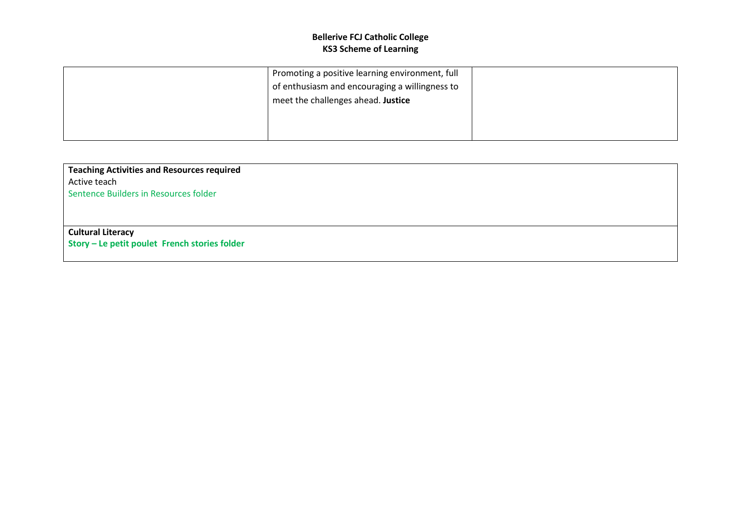| Promoting a positive learning environment, full |  |
|-------------------------------------------------|--|
| of enthusiasm and encouraging a willingness to  |  |
| meet the challenges ahead. Justice              |  |
|                                                 |  |
|                                                 |  |
|                                                 |  |

**Teaching Activities and Resources required** Active teach Sentence Builders in Resources folder

# **Cultural Literacy**

**Story – Le petit poulet French stories folder**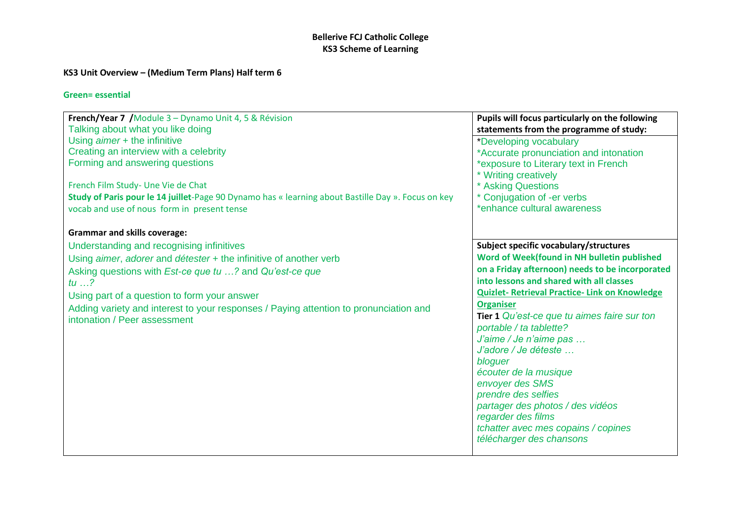## **KS3 Unit Overview – (Medium Term Plans) Half term 6**

| French/Year 7 / Module 3 - Dynamo Unit 4, 5 & Révision                                                                                                                                                                                                                                                                                                                            | Pupils will focus particularly on the following                                                                                                                                                                                                                                                                                                                                                                                                                                                                                                                                                          |
|-----------------------------------------------------------------------------------------------------------------------------------------------------------------------------------------------------------------------------------------------------------------------------------------------------------------------------------------------------------------------------------|----------------------------------------------------------------------------------------------------------------------------------------------------------------------------------------------------------------------------------------------------------------------------------------------------------------------------------------------------------------------------------------------------------------------------------------------------------------------------------------------------------------------------------------------------------------------------------------------------------|
| Talking about what you like doing                                                                                                                                                                                                                                                                                                                                                 | statements from the programme of study:                                                                                                                                                                                                                                                                                                                                                                                                                                                                                                                                                                  |
| Using aimer + the infinitive                                                                                                                                                                                                                                                                                                                                                      | *Developing vocabulary                                                                                                                                                                                                                                                                                                                                                                                                                                                                                                                                                                                   |
| Creating an interview with a celebrity                                                                                                                                                                                                                                                                                                                                            | *Accurate pronunciation and intonation                                                                                                                                                                                                                                                                                                                                                                                                                                                                                                                                                                   |
| Forming and answering questions                                                                                                                                                                                                                                                                                                                                                   | *exposure to Literary text in French                                                                                                                                                                                                                                                                                                                                                                                                                                                                                                                                                                     |
| French Film Study- Une Vie de Chat                                                                                                                                                                                                                                                                                                                                                | * Writing creatively                                                                                                                                                                                                                                                                                                                                                                                                                                                                                                                                                                                     |
| Study of Paris pour le 14 juillet-Page 90 Dynamo has « learning about Bastille Day ». Focus on key                                                                                                                                                                                                                                                                                | * Asking Questions                                                                                                                                                                                                                                                                                                                                                                                                                                                                                                                                                                                       |
| vocab and use of nous form in present tense                                                                                                                                                                                                                                                                                                                                       | * Conjugation of -er verbs                                                                                                                                                                                                                                                                                                                                                                                                                                                                                                                                                                               |
| <b>Grammar and skills coverage:</b>                                                                                                                                                                                                                                                                                                                                               | *enhance cultural awareness                                                                                                                                                                                                                                                                                                                                                                                                                                                                                                                                                                              |
| Understanding and recognising infinitives<br>Using aimer, adorer and détester + the infinitive of another verb<br>Asking questions with <i>Est-ce que tu ?</i> and <i>Qu'est-ce que</i><br>tu $\ldots$ ?<br>Using part of a question to form your answer<br>Adding variety and interest to your responses / Paying attention to pronunciation and<br>intonation / Peer assessment | Subject specific vocabulary/structures<br>Word of Week(found in NH bulletin published<br>on a Friday afternoon) needs to be incorporated<br>into lessons and shared with all classes<br><b>Quizlet- Retrieval Practice- Link on Knowledge</b><br><b>Organiser</b><br>Tier 1 Qu'est-ce que tu aimes faire sur ton<br>portable / ta tablette?<br>J'aime / Je n'aime pas<br>J'adore / Je déteste<br>bloguer<br>écouter de la musique<br>envoyer des SMS<br>prendre des selfies<br>partager des photos / des vidéos<br>regarder des films<br>tchatter avec mes copains / copines<br>télécharger des chansons |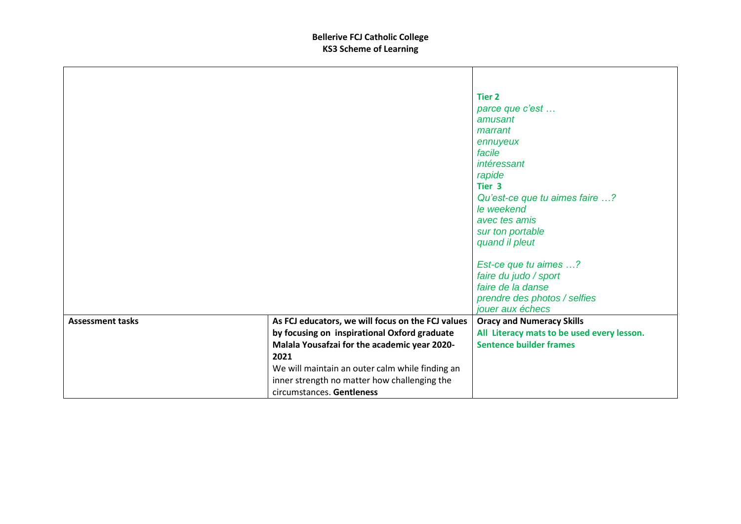|                         |                                                   | <b>Tier 2</b>                              |
|-------------------------|---------------------------------------------------|--------------------------------------------|
|                         |                                                   | parce que c'est                            |
|                         |                                                   | amusant                                    |
|                         |                                                   | marrant                                    |
|                         |                                                   | ennuyeux                                   |
|                         |                                                   | facile                                     |
|                         |                                                   | intéressant                                |
|                         |                                                   | rapide                                     |
|                         |                                                   | Tier <sub>3</sub>                          |
|                         |                                                   | Qu'est-ce que tu aimes faire ?             |
|                         |                                                   | le weekend                                 |
|                         |                                                   | avec tes amis                              |
|                         |                                                   | sur ton portable                           |
|                         |                                                   | quand il pleut                             |
|                         |                                                   | Est-ce que tu aimes ?                      |
|                         |                                                   | faire du judo / sport                      |
|                         |                                                   | faire de la danse                          |
|                         |                                                   | prendre des photos / selfies               |
|                         |                                                   | jouer aux échecs                           |
| <b>Assessment tasks</b> | As FCJ educators, we will focus on the FCJ values | <b>Oracy and Numeracy Skills</b>           |
|                         | by focusing on inspirational Oxford graduate      | All Literacy mats to be used every lesson. |
|                         | Malala Yousafzai for the academic year 2020-      | <b>Sentence builder frames</b>             |
|                         | 2021                                              |                                            |
|                         | We will maintain an outer calm while finding an   |                                            |
|                         | inner strength no matter how challenging the      |                                            |
|                         | circumstances. Gentleness                         |                                            |